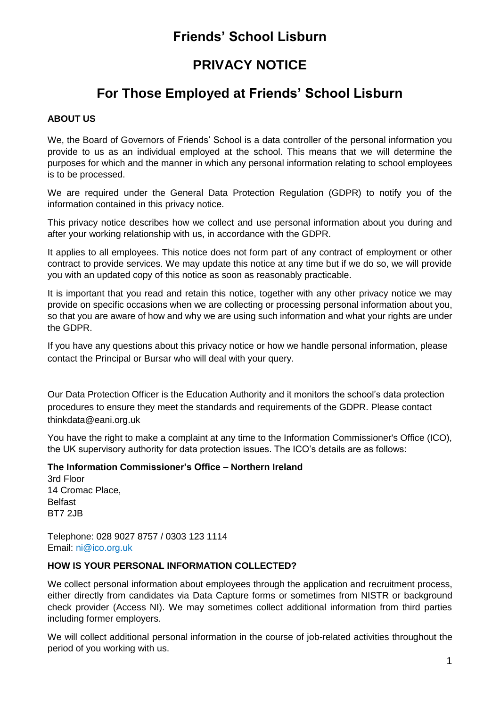## **Friends' School Lisburn**

# **PRIVACY NOTICE**

# **For Those Employed at Friends' School Lisburn**

## **ABOUT US**

We, the Board of Governors of Friends' School is a data controller of the personal information you provide to us as an individual employed at the school. This means that we will determine the purposes for which and the manner in which any personal information relating to school employees is to be processed.

We are required under the General Data Protection Regulation (GDPR) to notify you of the information contained in this privacy notice.

This privacy notice describes how we collect and use personal information about you during and after your working relationship with us, in accordance with the GDPR.

It applies to all employees. This notice does not form part of any contract of employment or other contract to provide services. We may update this notice at any time but if we do so, we will provide you with an updated copy of this notice as soon as reasonably practicable.

It is important that you read and retain this notice, together with any other privacy notice we may provide on specific occasions when we are collecting or processing personal information about you, so that you are aware of how and why we are using such information and what your rights are under the GDPR.

If you have any questions about this privacy notice or how we handle personal information, please contact the Principal or Bursar who will deal with your query.

Our Data Protection Officer is the Education Authority and it monitors the school's data protection procedures to ensure they meet the standards and requirements of the GDPR. Please contact thinkdata@eani.org.uk

You have the right to make a complaint at any time to the Information Commissioner's Office (ICO), the UK supervisory authority for data protection issues. The ICO's details are as follows:

#### **The Information Commissioner's Office – Northern Ireland**

3rd Floor 14 Cromac Place, Belfast BT7 2JB

Telephone: 028 9027 8757 / 0303 123 1114 Email: ni@ico.org.uk

## **HOW IS YOUR PERSONAL INFORMATION COLLECTED?**

We collect personal information about employees through the application and recruitment process, either directly from candidates via Data Capture forms or sometimes from NISTR or background check provider (Access NI). We may sometimes collect additional information from third parties including former employers.

We will collect additional personal information in the course of job-related activities throughout the period of you working with us.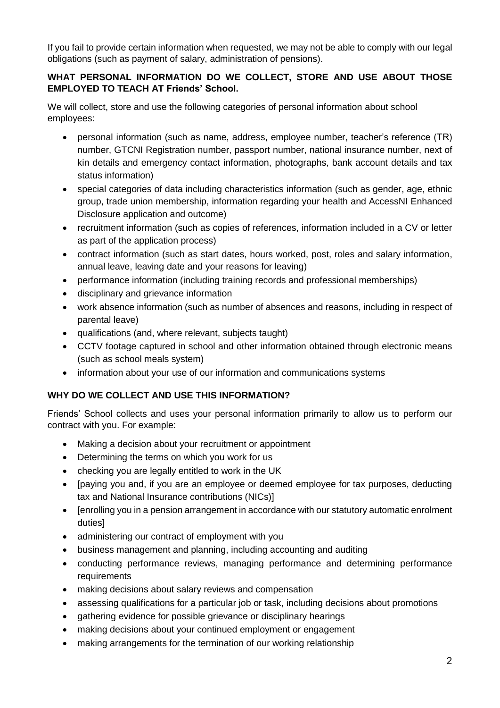If you fail to provide certain information when requested, we may not be able to comply with our legal obligations (such as payment of salary, administration of pensions).

## **WHAT PERSONAL INFORMATION DO WE COLLECT, STORE AND USE ABOUT THOSE EMPLOYED TO TEACH AT Friends' School.**

We will collect, store and use the following categories of personal information about school employees:

- personal information (such as name, address, employee number, teacher's reference (TR) number, GTCNI Registration number, passport number, national insurance number, next of kin details and emergency contact information, photographs, bank account details and tax status information)
- special categories of data including characteristics information (such as gender, age, ethnic group, trade union membership, information regarding your health and AccessNI Enhanced Disclosure application and outcome)
- recruitment information (such as copies of references, information included in a CV or letter as part of the application process)
- contract information (such as start dates, hours worked, post, roles and salary information, annual leave, leaving date and your reasons for leaving)
- performance information (including training records and professional memberships)
- disciplinary and grievance information
- work absence information (such as number of absences and reasons, including in respect of parental leave)
- qualifications (and, where relevant, subjects taught)
- CCTV footage captured in school and other information obtained through electronic means (such as school meals system)
- information about your use of our information and communications systems

## **WHY DO WE COLLECT AND USE THIS INFORMATION?**

Friends' School collects and uses your personal information primarily to allow us to perform our contract with you. For example:

- Making a decision about your recruitment or appointment
- Determining the terms on which you work for us
- checking you are legally entitled to work in the UK
- [paying you and, if you are an employee or deemed employee for tax purposes, deducting tax and National Insurance contributions (NICs)]
- [enrolling you in a pension arrangement in accordance with our statutory automatic enrolment duties]
- administering our contract of employment with you
- business management and planning, including accounting and auditing
- conducting performance reviews, managing performance and determining performance requirements
- making decisions about salary reviews and compensation
- assessing qualifications for a particular job or task, including decisions about promotions
- aathering evidence for possible grievance or disciplinary hearings
- making decisions about your continued employment or engagement
- making arrangements for the termination of our working relationship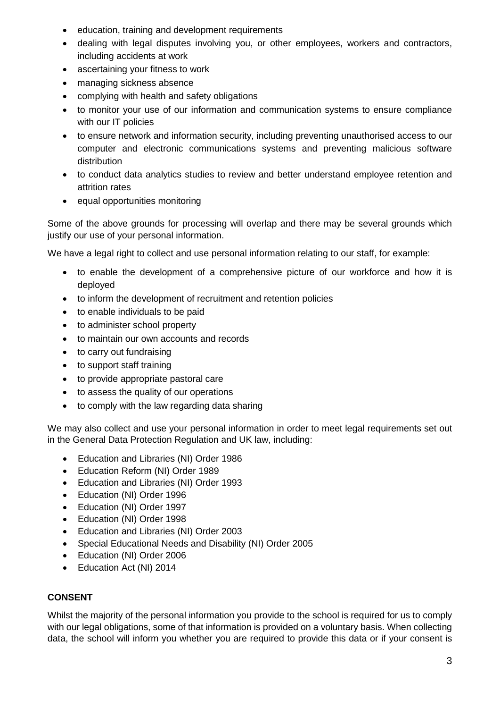- education, training and development requirements
- dealing with legal disputes involving you, or other employees, workers and contractors, including accidents at work
- ascertaining your fitness to work
- managing sickness absence
- complying with health and safety obligations
- to monitor your use of our information and communication systems to ensure compliance with our IT policies
- to ensure network and information security, including preventing unauthorised access to our computer and electronic communications systems and preventing malicious software distribution
- to conduct data analytics studies to review and better understand employee retention and attrition rates
- equal opportunities monitoring

Some of the above grounds for processing will overlap and there may be several grounds which justify our use of your personal information.

We have a legal right to collect and use personal information relating to our staff, for example:

- to enable the development of a comprehensive picture of our workforce and how it is deployed
- to inform the development of recruitment and retention policies
- to enable individuals to be paid
- to administer school property
- to maintain our own accounts and records
- to carry out fundraising
- to support staff training
- to provide appropriate pastoral care
- to assess the quality of our operations
- to comply with the law regarding data sharing

We may also collect and use your personal information in order to meet legal requirements set out in the General Data Protection Regulation and UK law, including:

- Education and Libraries (NI) Order 1986
- Education Reform (NI) Order 1989
- Education and Libraries (NI) Order 1993
- Education (NI) Order 1996
- Education (NI) Order 1997
- Education (NI) Order 1998
- Education and Libraries (NI) Order 2003
- Special Educational Needs and Disability (NI) Order 2005
- Education (NI) Order 2006
- Education Act (NI) 2014

### **CONSENT**

Whilst the majority of the personal information you provide to the school is required for us to comply with our legal obligations, some of that information is provided on a voluntary basis. When collecting data, the school will inform you whether you are required to provide this data or if your consent is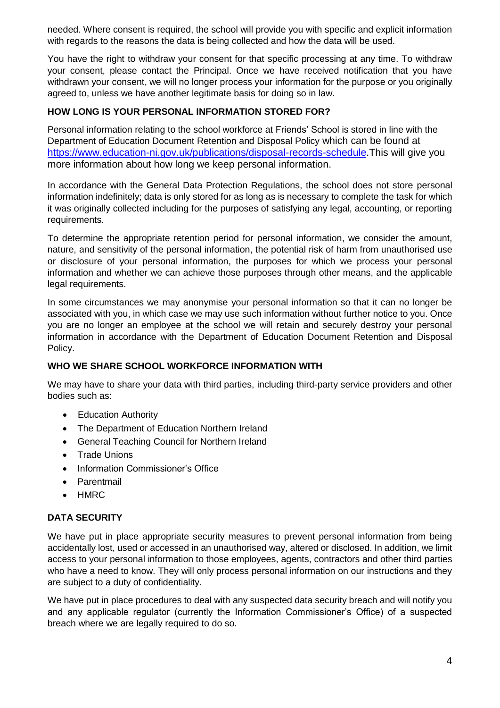needed. Where consent is required, the school will provide you with specific and explicit information with regards to the reasons the data is being collected and how the data will be used.

You have the right to withdraw your consent for that specific processing at any time. To withdraw your consent, please contact the Principal. Once we have received notification that you have withdrawn your consent, we will no longer process your information for the purpose or you originally agreed to, unless we have another legitimate basis for doing so in law.

### **HOW LONG IS YOUR PERSONAL INFORMATION STORED FOR?**

Personal information relating to the school workforce at Friends' School is stored in line with the Department of Education Document Retention and Disposal Policy which can be found a[t](https://www.education-ni.gov.uk/publications/disposal-records-schedule) [https://www.education-ni.gov.uk/publications/disposal-records-schedule.](https://www.education-ni.gov.uk/publications/disposal-records-schedule)This will give you more information about how long we keep personal information.

In accordance with the General Data Protection Regulations, the school does not store personal information indefinitely; data is only stored for as long as is necessary to complete the task for which it was originally collected including for the purposes of satisfying any legal, accounting, or reporting requirements.

To determine the appropriate retention period for personal information, we consider the amount, nature, and sensitivity of the personal information, the potential risk of harm from unauthorised use or disclosure of your personal information, the purposes for which we process your personal information and whether we can achieve those purposes through other means, and the applicable legal requirements.

In some circumstances we may anonymise your personal information so that it can no longer be associated with you, in which case we may use such information without further notice to you. Once you are no longer an employee at the school we will retain and securely destroy your personal information in accordance with the Department of Education Document Retention and Disposal Policy.

#### **WHO WE SHARE SCHOOL WORKFORCE INFORMATION WITH**

We may have to share your data with third parties, including third-party service providers and other bodies such as:

- Education Authority
- The Department of Education Northern Ireland
- General Teaching Council for Northern Ireland
- Trade Unions
- Information Commissioner's Office
- Parentmail
- HMRC

#### **DATA SECURITY**

We have put in place appropriate security measures to prevent personal information from being accidentally lost, used or accessed in an unauthorised way, altered or disclosed. In addition, we limit access to your personal information to those employees, agents, contractors and other third parties who have a need to know. They will only process personal information on our instructions and they are subject to a duty of confidentiality.

We have put in place procedures to deal with any suspected data security breach and will notify you and any applicable regulator (currently the Information Commissioner's Office) of a suspected breach where we are legally required to do so.